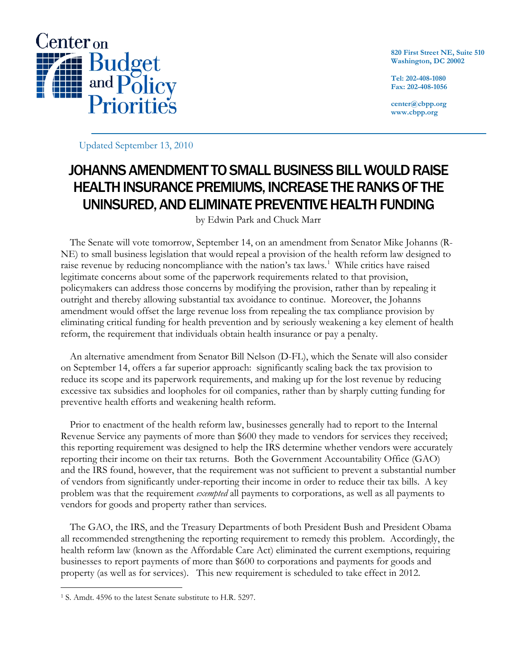

**820 First Street NE, Suite 510 Washington, DC 20002**

**Tel: 202-408-1080 Fax: 202-408-1056**

**center@cbpp.org www.cbpp.org**

Updated September 13, 2010

# JOHANNS AMENDMENT TO SMALL BUSINESS BILL WOULD RAISE HEALTH INSURANCE PREMIUMS, INCREASE THE RANKS OF THE UNINSURED, AND ELIMINATE PREVENTIVE HEALTH FUNDING

by Edwin Park and Chuck Marr

The Senate will vote tomorrow, September 14, on an amendment from Senator Mike Johanns (R-NE) to small business legislation that would repeal a provision of the health reform law designed to raise revenue by reducing noncompliance with the nation's tax laws.<sup>[1](#page-0-0)</sup> While critics have raised legitimate concerns about some of the paperwork requirements related to that provision, policymakers can address those concerns by modifying the provision, rather than by repealing it outright and thereby allowing substantial tax avoidance to continue. Moreover, the Johanns amendment would offset the large revenue loss from repealing the tax compliance provision by eliminating critical funding for health prevention and by seriously weakening a key element of health reform, the requirement that individuals obtain health insurance or pay a penalty.

An alternative amendment from Senator Bill Nelson (D-FL), which the Senate will also consider on September 14, offers a far superior approach: significantly scaling back the tax provision to reduce its scope and its paperwork requirements, and making up for the lost revenue by reducing excessive tax subsidies and loopholes for oil companies, rather than by sharply cutting funding for preventive health efforts and weakening health reform.

Prior to enactment of the health reform law, businesses generally had to report to the Internal Revenue Service any payments of more than \$600 they made to vendors for services they received; this reporting requirement was designed to help the IRS determine whether vendors were accurately reporting their income on their tax returns. Both the Government Accountability Office (GAO) and the IRS found, however, that the requirement was not sufficient to prevent a substantial number of vendors from significantly under-reporting their income in order to reduce their tax bills. A key problem was that the requirement *exempted* all payments to corporations, as well as all payments to vendors for goods and property rather than services.

The GAO, the IRS, and the Treasury Departments of both President Bush and President Obama all recommended strengthening the reporting requirement to remedy this problem. Accordingly, the health reform law (known as the Affordable Care Act) eliminated the current exemptions, requiring businesses to report payments of more than \$600 to corporations and payments for goods and property (as well as for services). This new requirement is scheduled to take effect in 2012.

<span id="page-0-0"></span> <sup>1</sup> S. Amdt. 4596 to the latest Senate substitute to H.R. 5297.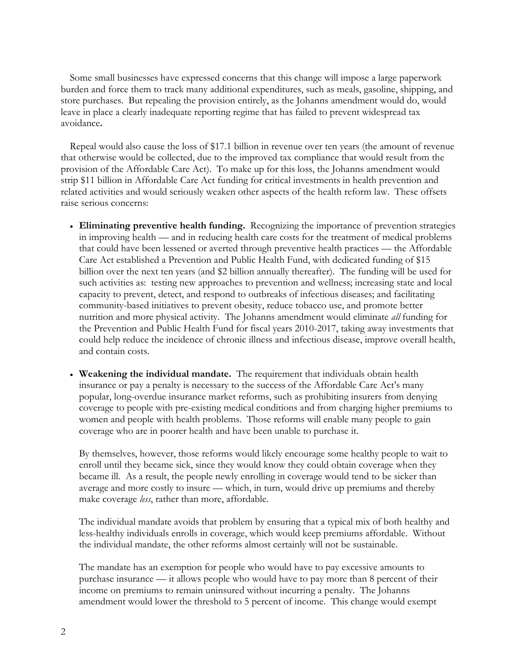Some small businesses have expressed concerns that this change will impose a large paperwork burden and force them to track many additional expenditures, such as meals, gasoline, shipping, and store purchases. But repealing the provision entirely, as the Johanns amendment would do, would leave in place a clearly inadequate reporting regime that has failed to prevent widespread tax avoidance**.**

Repeal would also cause the loss of \$17.1 billion in revenue over ten years (the amount of revenue that otherwise would be collected, due to the improved tax compliance that would result from the provision of the Affordable Care Act). To make up for this loss, the Johanns amendment would strip \$11 billion in Affordable Care Act funding for critical investments in health prevention and related activities and would seriously weaken other aspects of the health reform law. These offsets raise serious concerns:

- **Eliminating preventive health funding.** Recognizing the importance of prevention strategies in improving health — and in reducing health care costs for the treatment of medical problems that could have been lessened or averted through preventive health practices — the Affordable Care Act established a Prevention and Public Health Fund, with dedicated funding of \$15 billion over the next ten years (and \$2 billion annually thereafter). The funding will be used for such activities as: testing new approaches to prevention and wellness; increasing state and local capacity to prevent, detect, and respond to outbreaks of infectious diseases; and facilitating community-based initiatives to prevent obesity, reduce tobacco use, and promote better nutrition and more physical activity. The Johanns amendment would eliminate *all* funding for the Prevention and Public Health Fund for fiscal years 2010-2017, taking away investments that could help reduce the incidence of chronic illness and infectious disease, improve overall health, and contain costs.
- **Weakening the individual mandate.** The requirement that individuals obtain health insurance or pay a penalty is necessary to the success of the Affordable Care Act's many popular, long-overdue insurance market reforms, such as prohibiting insurers from denying coverage to people with pre-existing medical conditions and from charging higher premiums to women and people with health problems. Those reforms will enable many people to gain coverage who are in poorer health and have been unable to purchase it.

By themselves, however, those reforms would likely encourage some healthy people to wait to enroll until they became sick, since they would know they could obtain coverage when they became ill. As a result, the people newly enrolling in coverage would tend to be sicker than average and more costly to insure — which, in turn, would drive up premiums and thereby make coverage *less*, rather than more, affordable.

The individual mandate avoids that problem by ensuring that a typical mix of both healthy and less-healthy individuals enrolls in coverage, which would keep premiums affordable. Without the individual mandate, the other reforms almost certainly will not be sustainable.

The mandate has an exemption for people who would have to pay excessive amounts to purchase insurance — it allows people who would have to pay more than 8 percent of their income on premiums to remain uninsured without incurring a penalty. The Johanns amendment would lower the threshold to 5 percent of income. This change would exempt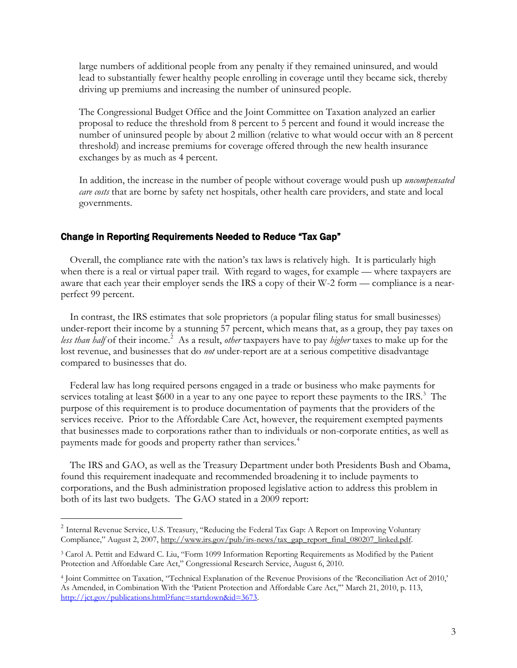large numbers of additional people from any penalty if they remained uninsured, and would lead to substantially fewer healthy people enrolling in coverage until they became sick, thereby driving up premiums and increasing the number of uninsured people.

The Congressional Budget Office and the Joint Committee on Taxation analyzed an earlier proposal to reduce the threshold from 8 percent to 5 percent and found it would increase the number of uninsured people by about 2 million (relative to what would occur with an 8 percent threshold) and increase premiums for coverage offered through the new health insurance exchanges by as much as 4 percent.

In addition, the increase in the number of people without coverage would push up *uncompensated care costs* that are borne by safety net hospitals, other health care providers, and state and local governments.

# Change in Reporting Requirements Needed to Reduce "Tax Gap"

Overall, the compliance rate with the nation's tax laws is relatively high. It is particularly high when there is a real or virtual paper trail. With regard to wages, for example — where taxpayers are aware that each year their employer sends the IRS a copy of their W-2 form — compliance is a nearperfect 99 percent.

In contrast, the IRS estimates that sole proprietors (a popular filing status for small businesses) under-report their income by a stunning 57 percent, which means that, as a group, they pay taxes on less than half of their income.<sup>[2](#page-2-0)</sup> As a result, *other* taxpayers have to pay *higher* taxes to make up for the lost revenue, and businesses that do *not* under-report are at a serious competitive disadvantage compared to businesses that do.

Federal law has long required persons engaged in a trade or business who make payments for services totaling at least \$600 in a year to any one payee to report these payments to the IRS.<sup>[3](#page-2-1)</sup> The purpose of this requirement is to produce documentation of payments that the providers of the services receive. Prior to the Affordable Care Act, however, the requirement exempted payments that businesses made to corporations rather than to individuals or non-corporate entities, as well as payments made for goods and property rather than services. [4](#page-2-2)

The IRS and GAO, as well as the Treasury Department under both Presidents Bush and Obama, found this requirement inadequate and recommended broadening it to include payments to corporations, and the Bush administration proposed legislative action to address this problem in both of its last two budgets. The GAO stated in a 2009 report:

<span id="page-2-0"></span><sup>&</sup>lt;sup>2</sup> Internal Revenue Service, U.S. Treasury, "Reducing the Federal Tax Gap: A Report on Improving Voluntary Compliance," August 2, 2007, [http://www.irs.gov/pub/irs-news/tax\\_gap\\_report\\_final\\_080207\\_linked.pdf.](http://www.irs.gov/pub/irs-news/tax_gap_report_final_080207_linked.pdf)

<span id="page-2-1"></span><sup>3</sup> Carol A. Pettit and Edward C. Liu, "Form 1099 Information Reporting Requirements as Modified by the Patient Protection and Affordable Care Act," Congressional Research Service, August 6, 2010.

<span id="page-2-2"></span><sup>4</sup> Joint Committee on Taxation, "Technical Explanation of the Revenue Provisions of the 'Reconciliation Act of 2010,' As Amended, in Combination With the 'Patient Protection and Affordable Care Act,'" March 21, 2010, p. 113, [http://jct.gov/publications.html?func=startdown&id=3673.](http://jct.gov/publications.html?func=startdown&id=3673)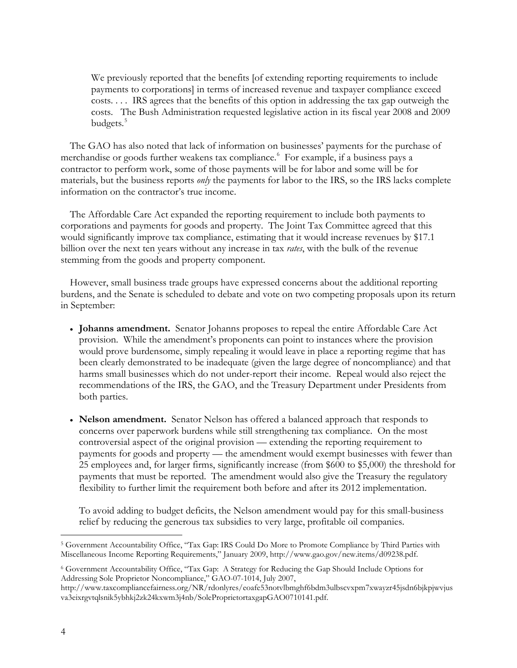We previously reported that the benefits [of extending reporting requirements to include payments to corporations] in terms of increased revenue and taxpayer compliance exceed costs. . . . IRS agrees that the benefits of this option in addressing the tax gap outweigh the costs. The Bush Administration requested legislative action in its fiscal year 2008 and 2009 budgets.<sup>[5](#page-3-0)</sup>

The GAO has also noted that lack of information on businesses' payments for the purchase of merchandise or goods further weakens tax compliance.<sup>[6](#page-3-1)</sup> For example, if a business pays a contractor to perform work, some of those payments will be for labor and some will be for materials, but the business reports *only* the payments for labor to the IRS, so the IRS lacks complete information on the contractor's true income.

The Affordable Care Act expanded the reporting requirement to include both payments to corporations and payments for goods and property. The Joint Tax Committee agreed that this would significantly improve tax compliance, estimating that it would increase revenues by \$17.1 billion over the next ten years without any increase in tax *rates*, with the bulk of the revenue stemming from the goods and property component.

However, small business trade groups have expressed concerns about the additional reporting burdens, and the Senate is scheduled to debate and vote on two competing proposals upon its return in September:

- **Johanns amendment.** Senator Johanns proposes to repeal the entire Affordable Care Act provision. While the amendment's proponents can point to instances where the provision would prove burdensome, simply repealing it would leave in place a reporting regime that has been clearly demonstrated to be inadequate (given the large degree of noncompliance) and that harms small businesses which do not under-report their income. Repeal would also reject the recommendations of the IRS, the GAO, and the Treasury Department under Presidents from both parties.
- **Nelson amendment.** Senator Nelson has offered a balanced approach that responds to concerns over paperwork burdens while still strengthening tax compliance. On the most controversial aspect of the original provision — extending the reporting requirement to payments for goods and property — the amendment would exempt businesses with fewer than 25 employees and, for larger firms, significantly increase (from \$600 to \$5,000) the threshold for payments that must be reported. The amendment would also give the Treasury the regulatory flexibility to further limit the requirement both before and after its 2012 implementation.

To avoid adding to budget deficits, the Nelson amendment would pay for this small-business relief by reducing the generous tax subsidies to very large, profitable oil companies.

<span id="page-3-0"></span> <sup>5</sup> Government Accountability Office, "Tax Gap: IRS Could Do More to Promote Compliance by Third Parties with Miscellaneous Income Reporting Requirements," January 2009, http://www.gao.gov/new.items/d09238.pdf.

<span id="page-3-1"></span><sup>6</sup> Government Accountability Office, "Tax Gap: A Strategy for Reducing the Gap Should Include Options for Addressing Sole Proprietor Noncompliance," GAO-07-1014, July 2007,

http://www.taxcompliancefairness.org/NR/rdonlyres/eoafe53notvlbmghf6bdm3ulbscvxpm7xwayzr45jsdn6bjkpjwvjus va3eixrgvtqlsnik5ybhkj2zk24kxwm3j4nb/SoleProprietortaxgapGAO0710141.pdf.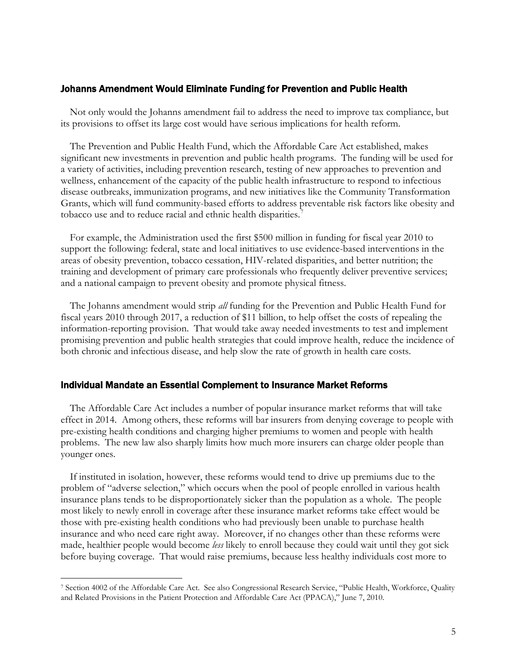## Johanns Amendment Would Eliminate Funding for Prevention and Public Health

Not only would the Johanns amendment fail to address the need to improve tax compliance, but its provisions to offset its large cost would have serious implications for health reform.

The Prevention and Public Health Fund, which the Affordable Care Act established, makes significant new investments in prevention and public health programs. The funding will be used for a variety of activities, including prevention research, testing of new approaches to prevention and wellness, enhancement of the capacity of the public health infrastructure to respond to infectious disease outbreaks, immunization programs, and new initiatives like the Community Transformation Grants, which will fund community-based efforts to address preventable risk factors like obesity and tobacco use and to reduce racial and ethnic health disparities.<sup>[7](#page-4-0)</sup>

For example, the Administration used the first \$500 million in funding for fiscal year 2010 to support the following: federal, state and local initiatives to use evidence-based interventions in the areas of obesity prevention, tobacco cessation, HIV-related disparities, and better nutrition; the training and development of primary care professionals who frequently deliver preventive services; and a national campaign to prevent obesity and promote physical fitness.

The Johanns amendment would strip *all* funding for the Prevention and Public Health Fund for fiscal years 2010 through 2017, a reduction of \$11 billion, to help offset the costs of repealing the information-reporting provision. That would take away needed investments to test and implement promising prevention and public health strategies that could improve health, reduce the incidence of both chronic and infectious disease, and help slow the rate of growth in health care costs.

#### Individual Mandate an Essential Complement to Insurance Market Reforms

The Affordable Care Act includes a number of popular insurance market reforms that will take effect in 2014. Among others, these reforms will bar insurers from denying coverage to people with pre-existing health conditions and charging higher premiums to women and people with health problems. The new law also sharply limits how much more insurers can charge older people than younger ones.

If instituted in isolation, however, these reforms would tend to drive up premiums due to the problem of "adverse selection," which occurs when the pool of people enrolled in various health insurance plans tends to be disproportionately sicker than the population as a whole. The people most likely to newly enroll in coverage after these insurance market reforms take effect would be those with pre-existing health conditions who had previously been unable to purchase health insurance and who need care right away. Moreover, if no changes other than these reforms were made, healthier people would become *less* likely to enroll because they could wait until they got sick before buying coverage. That would raise premiums, because less healthy individuals cost more to

<span id="page-4-0"></span> <sup>7</sup> Section 4002 of the Affordable Care Act. See also Congressional Research Service, "Public Health, Workforce, Quality and Related Provisions in the Patient Protection and Affordable Care Act (PPACA)," June 7, 2010.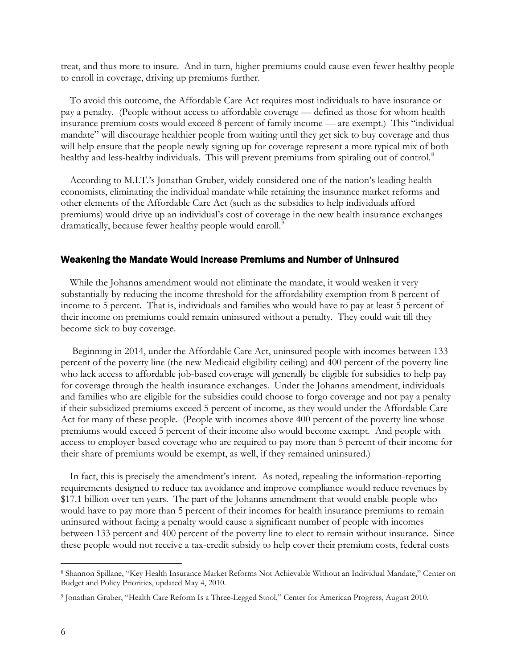treat, and thus more to insure. And in turn, higher premiums could cause even fewer healthy people to enroll in coverage, driving up premiums further.

To avoid this outcome, the Affordable Care Act requires most individuals to have insurance or pay a penalty. (People without access to affordable coverage — defined as those for whom health insurance premium costs would exceed 8 percent of family income — are exempt.) This "individual mandate" will discourage healthier people from waiting until they get sick to buy coverage and thus will help ensure that the people newly signing up for coverage represent a more typical mix of both healthy and less-healthy individuals. This will prevent premiums from spiraling out of control.<sup>[8](#page-5-0)</sup>

According to M.I.T.'s Jonathan Gruber, widely considered one of the nation's leading health economists, eliminating the individual mandate while retaining the insurance market reforms and other elements of the Affordable Care Act (such as the subsidies to help individuals afford premiums) would drive up an individual's cost of coverage in the new health insurance exchanges dramatically, because fewer healthy people would enroll.<sup>[9](#page-5-1)</sup>

## Weakening the Mandate Would Increase Premiums and Number of Uninsured

While the Johanns amendment would not eliminate the mandate, it would weaken it very substantially by reducing the income threshold for the affordability exemption from 8 percent of income to 5 percent. That is, individuals and families who would have to pay at least 5 percent of their income on premiums could remain uninsured without a penalty. They could wait till they become sick to buy coverage.

Beginning in 2014, under the Affordable Care Act, uninsured people with incomes between 133 percent of the poverty line (the new Medicaid eligibility ceiling) and 400 percent of the poverty line who lack access to affordable job-based coverage will generally be eligible for subsidies to help pay for coverage through the health insurance exchanges. Under the Johanns amendment, individuals and families who are eligible for the subsidies could choose to forgo coverage and not pay a penalty if their subsidized premiums exceed 5 percent of income, as they would under the Affordable Care Act for many of these people. (People with incomes above 400 percent of the poverty line whose premiums would exceed 5 percent of their income also would become exempt. And people with access to employer-based coverage who are required to pay more than 5 percent of their income for their share of premiums would be exempt, as well, if they remained uninsured.)

In fact, this is precisely the amendment's intent. As noted, repealing the information-reporting requirements designed to reduce tax avoidance and improve compliance would reduce revenues by \$17.1 billion over ten years. The part of the Johanns amendment that would enable people who would have to pay more than 5 percent of their incomes for health insurance premiums to remain uninsured without facing a penalty would cause a significant number of people with incomes between 133 percent and 400 percent of the poverty line to elect to remain without insurance. Since these people would not receive a tax-credit subsidy to help cover their premium costs, federal costs

<span id="page-5-0"></span> <sup>8</sup> Shannon Spillane, "Key Health Insurance Market Reforms Not Achievable Without an Individual Mandate," Center on Budget and Policy Priorities, updated May 4, 2010.

<span id="page-5-1"></span><sup>9</sup> Jonathan Gruber, "Health Care Reform Is a Three-Legged Stool," Center for American Progress, August 2010.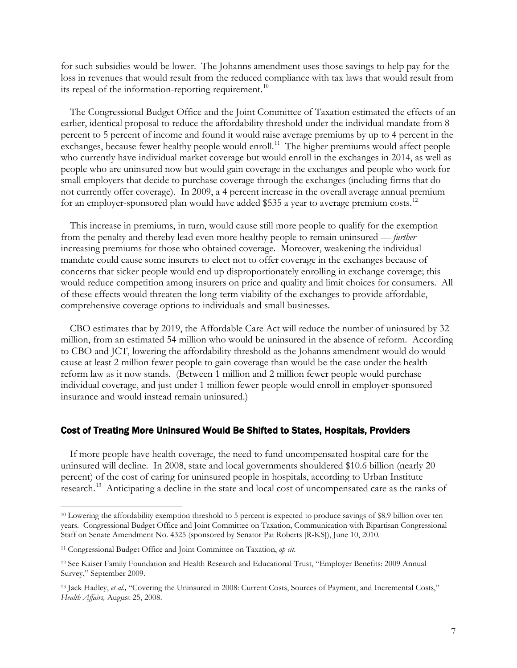for such subsidies would be lower. The Johanns amendment uses those savings to help pay for the loss in revenues that would result from the reduced compliance with tax laws that would result from its repeal of the information-reporting requirement.<sup>[10](#page-6-0)</sup>

The Congressional Budget Office and the Joint Committee of Taxation estimated the effects of an earlier, identical proposal to reduce the affordability threshold under the individual mandate from 8 percent to 5 percent of income and found it would raise average premiums by up to 4 percent in the exchanges, because fewer healthy people would enroll.<sup>11</sup> The higher premiums would affect people who currently have individual market coverage but would enroll in the exchanges in 2014, as well as people who are uninsured now but would gain coverage in the exchanges and people who work for small employers that decide to purchase coverage through the exchanges (including firms that do not currently offer coverage). In 2009, a 4 percent increase in the overall average annual premium for an employer-sponsored plan would have added \$535 a year to average premium costs.<sup>[12](#page-6-2)</sup>

This increase in premiums, in turn, would cause still more people to qualify for the exemption from the penalty and thereby lead even more healthy people to remain uninsured — *further* increasing premiums for those who obtained coverage. Moreover, weakening the individual mandate could cause some insurers to elect not to offer coverage in the exchanges because of concerns that sicker people would end up disproportionately enrolling in exchange coverage; this would reduce competition among insurers on price and quality and limit choices for consumers. All of these effects would threaten the long-term viability of the exchanges to provide affordable, comprehensive coverage options to individuals and small businesses.

CBO estimates that by 2019, the Affordable Care Act will reduce the number of uninsured by 32 million, from an estimated 54 million who would be uninsured in the absence of reform. According to CBO and JCT, lowering the affordability threshold as the Johanns amendment would do would cause at least 2 million fewer people to gain coverage than would be the case under the health reform law as it now stands. (Between 1 million and 2 million fewer people would purchase individual coverage, and just under 1 million fewer people would enroll in employer-sponsored insurance and would instead remain uninsured.)

#### Cost of Treating More Uninsured Would Be Shifted to States, Hospitals, Providers

If more people have health coverage, the need to fund uncompensated hospital care for the uninsured will decline. In 2008, state and local governments shouldered \$10.6 billion (nearly 20 percent) of the cost of caring for uninsured people in hospitals, according to Urban Institute research.<sup>[13](#page-6-3)</sup> Anticipating a decline in the state and local cost of uncompensated care as the ranks of

<span id="page-6-0"></span><sup>&</sup>lt;sup>10</sup> Lowering the affordability exemption threshold to 5 percent is expected to produce savings of \$8.9 billion over ten years. Congressional Budget Office and Joint Committee on Taxation, Communication with Bipartisan Congressional Staff on Senate Amendment No. 4325 (sponsored by Senator Pat Roberts [R-KS]), June 10, 2010.

<span id="page-6-1"></span><sup>11</sup> Congressional Budget Office and Joint Committee on Taxation, *op cit*.

<span id="page-6-2"></span><sup>12</sup> See Kaiser Family Foundation and Health Research and Educational Trust, "Employer Benefits: 2009 Annual Survey," September 2009.

<span id="page-6-3"></span><sup>&</sup>lt;sup>13</sup> Jack Hadley, *et al.*, "Covering the Uninsured in 2008: Current Costs, Sources of Payment, and Incremental Costs," *Health Affairs,* August 25, 2008.